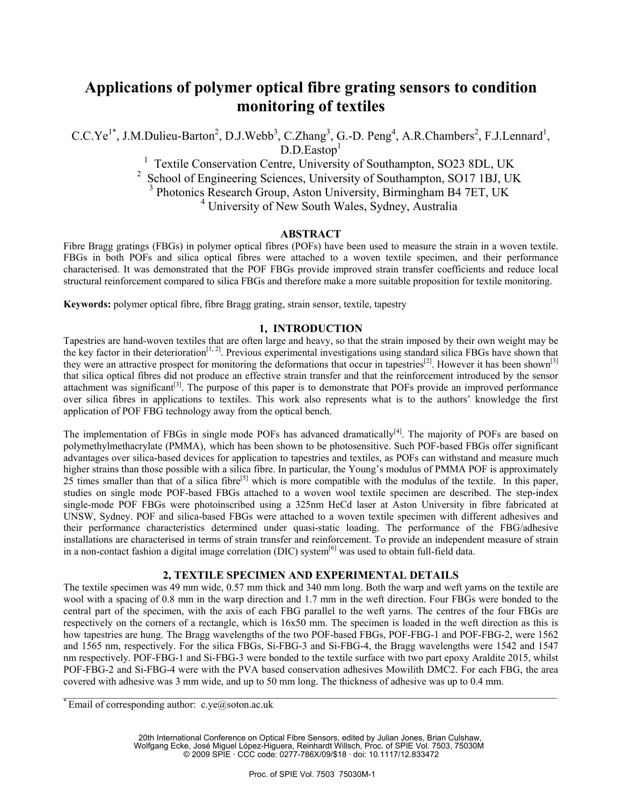# **Applications of polymer optical fibre grating sensors to condition monitoring of textiles**

C.C.Ye<sup>1\*</sup>, J.M.Dulieu-Barton<sup>2</sup>, D.J.Webb<sup>3</sup>, C.Zhang<sup>3</sup>, G.-D. Peng<sup>4</sup>, A.R.Chambers<sup>2</sup>, F.J.Lennard<sup>1</sup>,  $D.D.Eastop<sup>1</sup>$ 

<sup>1</sup> Textile Conservation Centre, University of Southampton, SO23 8DL, UK

<sup>2</sup> School of Engineering Sciences, University of Southampton, SO17 1BJ, UK<br><sup>3</sup> Photonics Research Group, Aston University, Birmingham B4 7ET, UK<br><sup>4</sup> University of New South Wales, Sydney, Australia

## **ABSTRACT**

Fibre Bragg gratings (FBGs) in polymer optical fibres (POFs) have been used to measure the strain in a woven textile. FBGs in both POFs and silica optical fibres were attached to a woven textile specimen, and their performance characterised. It was demonstrated that the POF FBGs provide improved strain transfer coefficients and reduce local structural reinforcement compared to silica FBGs and therefore make a more suitable proposition for textile monitoring.

**Keywords:** polymer optical fibre, fibre Bragg grating, strain sensor, textile, tapestry

#### **1, INTRODUCTION**

Tapestries are hand-woven textiles that are often large and heavy, so that the strain imposed by their own weight may be the key factor in their deterioration<sup>[1, 2]</sup>. Previous experimental investigations using standard silica FBGs have shown that they were an attractive prospect for monitoring the deformations that occur in tapestries<sup>[2]</sup>. However it has been shown<sup>[3]</sup> that silica optical fibres did not produce an effective strain transfer and that the reinforcement introduced by the sensor attachment was significant<sup>[3]</sup>. The purpose of this paper is to demonstrate that POFs provide an improved performance over silica fibres in applications to textiles. This work also represents what is to the authors' knowledge the first application of POF FBG technology away from the optical bench.

The implementation of FBGs in single mode POFs has advanced dramatically<sup>[4]</sup>. The majority of POFs are based on polymethylmethacrylate (PMMA), which has been shown to be photosensitive. Such POF-based FBGs offer significant advantages over silica-based devices for application to tapestries and textiles, as POFs can withstand and measure much higher strains than those possible with a silica fibre. In particular, the Young's modulus of PMMA POF is approximately  $25$  times smaller than that of a silica fibre<sup>[5]</sup> which is more compatible with the modulus of the textile. In this paper, studies on single mode POF-based FBGs attached to a woven wool textile specimen are described. The step-index single-mode POF FBGs were photoinscribed using a 325nm HeCd laser at Aston University in fibre fabricated at UNSW, Sydney. POF and silica-based FBGs were attached to a woven textile specimen with different adhesives and their performance characteristics determined under quasi-static loading. The performance of the FBG/adhesive installations are characterised in terms of strain transfer and reinforcement. To provide an independent measure of strain in a non-contact fashion a digital image correlation (DIC) system<sup>[6]</sup> was used to obtain full-field data.

## **2, TEXTILE SPECIMEN AND EXPERIMENTAL DETAILS**

The textile specimen was 49 mm wide, 0.57 mm thick and 340 mm long. Both the warp and weft yarns on the textile are wool with a spacing of 0.8 mm in the warp direction and 1.7 mm in the weft direction. Four FBGs were bonded to the central part of the specimen, with the axis of each FBG parallel to the weft yarns. The centres of the four FBGs are respectively on the corners of a rectangle, which is 16x50 mm. The specimen is loaded in the weft direction as this is how tapestries are hung. The Bragg wavelengths of the two POF-based FBGs, POF-FBG-1 and POF-FBG-2, were 1562 and 1565 nm, respectively. For the silica FBGs, Si-FBG-3 and Si-FBG-4, the Bragg wavelengths were 1542 and 1547 nm respectively. POF-FBG-1 and Si-FBG-3 were bonded to the textile surface with two part epoxy Araldite 2015, whilst POF-FBG-2 and Si-FBG-4 were with the PVA based conservation adhesives Mowilith DMC2. For each FBG, the area covered with adhesive was 3 mm wide, and up to 50 mm long. The thickness of adhesive was up to 0.4 mm.

 $\_$  , and the state of the state of the state of the state of the state of the state of the state of the state of the state of the state of the state of the state of the state of the state of the state of the state of the

20th International Conference on Optical Fibre Sensors, edited by Julian Jones, Brian Culshaw, Wolfgang Ecke, José Miguel López-Higuera, Reinhardt Willsch, Proc. of SPIE Vol. 7503, 75030M © 2009 SPIE · CCC code: 0277-786X/09/\$18 · doi: 10.1117/12.833472

 $*$  Email of corresponding author: c.ye@soton.ac.uk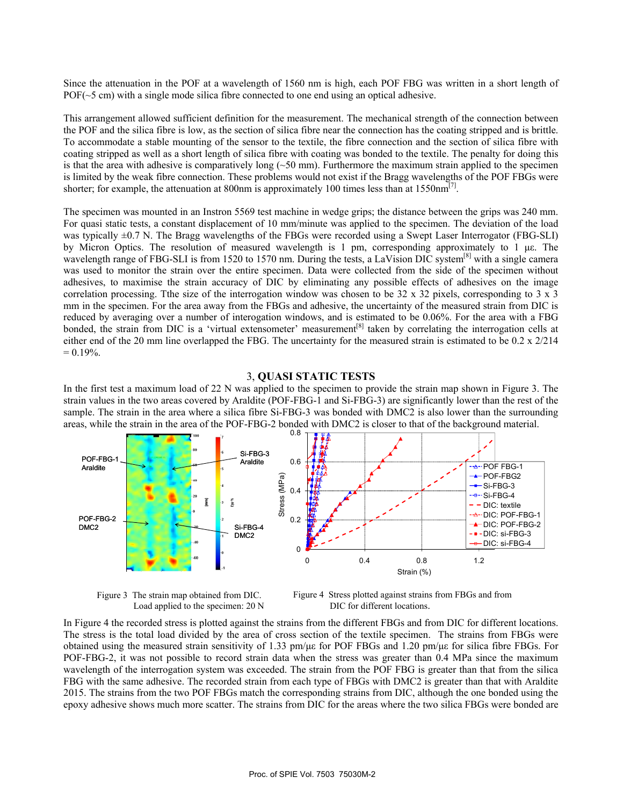Since the attenuation in the POF at a wavelength of 1560 nm is high, each POF FBG was written in a short length of POF( $\sim$ 5 cm) with a single mode silica fibre connected to one end using an optical adhesive.

This arrangement allowed sufficient definition for the measurement. The mechanical strength of the connection between the POF and the silica fibre is low, as the section of silica fibre near the connection has the coating stripped and is brittle. To accommodate a stable mounting of the sensor to the textile, the fibre connection and the section of silica fibre with coating stripped as well as a short length of silica fibre with coating was bonded to the textile. The penalty for doing this is that the area with adhesive is comparatively long  $(-50 \text{ mm})$ . Furthermore the maximum strain applied to the specimen is limited by the weak fibre connection. These problems would not exist if the Bragg wavelengths of the POF FBGs were shorter; for example, the attenuation at 800nm is approximately 100 times less than at  $1550$ nm<sup>[7]</sup>.

The specimen was mounted in an Instron 5569 test machine in wedge grips; the distance between the grips was 240 mm. For quasi static tests, a constant displacement of 10 mm/minute was applied to the specimen. The deviation of the load was typically  $\pm 0.7$  N. The Bragg wavelengths of the FBGs were recorded using a Swept Laser Interrogator (FBG-SLI) by Micron Optics. The resolution of measured wavelength is 1 pm, corresponding approximately to 1 με. The wavelength range of FBG-SLI is from 1520 to 1570 nm. During the tests, a LaVision DIC system<sup>[8]</sup> with a single camera was used to monitor the strain over the entire specimen. Data were collected from the side of the specimen without adhesives, to maximise the strain accuracy of DIC by eliminating any possible effects of adhesives on the image correlation processing. Tthe size of the interrogation window was chosen to be 32 x 32 pixels, corresponding to 3 x 3 mm in the specimen. For the area away from the FBGs and adhesive, the uncertainty of the measured strain from DIC is reduced by averaging over a number of interogation windows, and is estimated to be 0.06%. For the area with a FBG bonded, the strain from DIC is a 'virtual extensometer' measurement<sup>[8]</sup> taken by correlating the interrogation cells at either end of the 20 mm line overlapped the FBG. The uncertainty for the measured strain is estimated to be 0.2 x 2/214  $= 0.19\%$ .

#### 3, **QUASI STATIC TESTS**

In the first test a maximum load of 22 N was applied to the specimen to provide the strain map shown in Figure 3. The strain values in the two areas covered by Araldite (POF-FBG-1 and Si-FBG-3) are significantly lower than the rest of the sample. The strain in the area where a silica fibre Si-FBG-3 was bonded with DMC2 is also lower than the surrounding areas, while the strain in the area of the POF-FBG-2 bonded with DMC2 is closer to that of the background material.





Figure 4 Stress plotted against strains from FBGs and from DIC for different locations.

In Figure 4 the recorded stress is plotted against the strains from the different FBGs and from DIC for different locations. The stress is the total load divided by the area of cross section of the textile specimen. The strains from FBGs were obtained using the measured strain sensitivity of 1.33 pm/με for POF FBGs and 1.20 pm/με for silica fibre FBGs. For POF-FBG-2, it was not possible to record strain data when the stress was greater than 0.4 MPa since the maximum wavelength of the interrogation system was exceeded. The strain from the POF FBG is greater than that from the silica FBG with the same adhesive. The recorded strain from each type of FBGs with DMC2 is greater than that with Araldite 2015. The strains from the two POF FBGs match the corresponding strains from DIC, although the one bonded using the epoxy adhesive shows much more scatter. The strains from DIC for the areas where the two silica FBGs were bonded are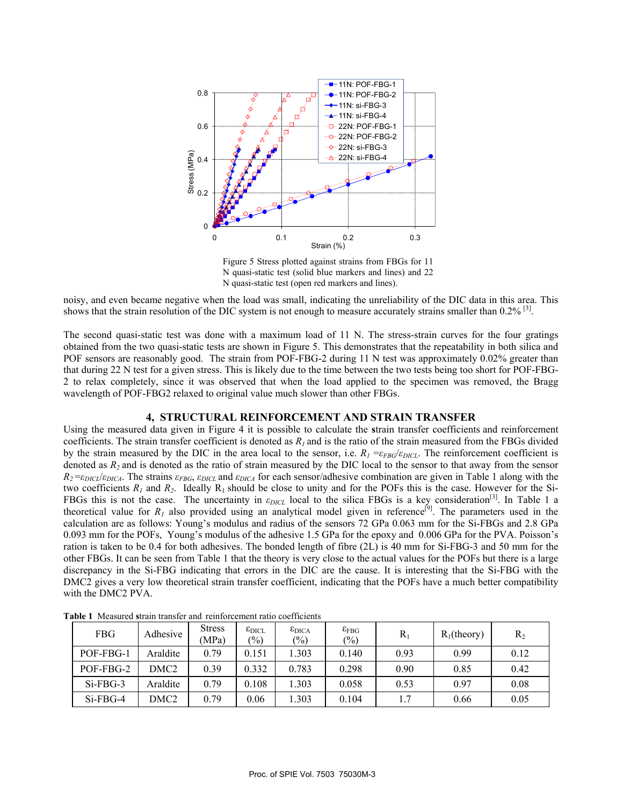

Figure 5 Stress plotted against strains from FBGs for 11 N quasi-static test (solid blue markers and lines) and 22 N quasi-static test (open red markers and lines).

noisy, and even became negative when the load was small, indicating the unreliability of the DIC data in this area. This shows that the strain resolution of the DIC system is not enough to measure accurately strains smaller than  $0.2\%$  [3].

The second quasi-static test was done with a maximum load of 11 N. The stress-strain curves for the four gratings obtained from the two quasi-static tests are shown in Figure 5. This demonstrates that the repeatability in both silica and POF sensors are reasonably good. The strain from POF-FBG-2 during 11 N test was approximately 0.02% greater than that during 22 N test for a given stress. This is likely due to the time between the two tests being too short for POF-FBG-2 to relax completely, since it was observed that when the load applied to the specimen was removed, the Bragg wavelength of POF-FBG2 relaxed to original value much slower than other FBGs.

#### **4, STRUCTURAL REINFORCEMENT AND STRAIN TRANSFER**

Using the measured data given in Figure 4 it is possible to calculate the **s**train transfer coefficients and reinforcement coefficients. The strain transfer coefficient is denoted as  $R_1$  and is the ratio of the strain measured from the FBGs divided by the strain measured by the DIC in the area local to the sensor, i.e.  $R_1 = \varepsilon_{FBG}/\varepsilon_{DICL}$ . The reinforcement coefficient is denoted as *R2* and is denoted as the ratio of strain measured by the DIC local to the sensor to that away from the sensor  $R_2 = \varepsilon_{DICL}/\varepsilon_{DICA}$ . The strains  $\varepsilon_{FBG}$ ,  $\varepsilon_{DICA}$  and  $\varepsilon_{DICA}$  for each sensor/adhesive combination are given in Table 1 along with the two coefficients  $R_1$  and  $R_2$ . Ideally  $R_1$  should be close to unity and for the POFs this is the case. However for the Si-FBGs this is not the case. The uncertainty in  $\varepsilon_{DICL}$  local to the silica FBGs is a key consideration<sup>[3]</sup>. In Table 1 a theoretical value for  $R_1$  also provided using an analytical model given in reference<sup>[9]</sup>. The parameters used in the calculation are as follows: Young's modulus and radius of the sensors 72 GPa 0.063 mm for the Si-FBGs and 2.8 GPa 0.093 mm for the POFs, Young's modulus of the adhesive 1.5 GPa for the epoxy and 0.006 GPa for the PVA. Poisson's ration is taken to be 0.4 for both adhesives. The bonded length of fibre (2L) is 40 mm for Si-FBG-3 and 50 mm for the other FBGs. It can be seen from Table 1 that the theory is very close to the actual values for the POFs but there is a large discrepancy in the Si-FBG indicating that errors in the DIC are the cause. It is interesting that the Si-FBG with the DMC2 gives a very low theoretical strain transfer coefficient, indicating that the POFs have a much better compatibility with the DMC2 PVA.

| FBG         | Adhesive         | <b>Stress</b><br>(MPa) | $\epsilon_{\rm DICL}$<br>$\frac{9}{0}$ | $\epsilon_{\rm DICA}$<br>$\frac{6}{2}$ | $\epsilon_{\text{FBG}}$<br>$\left(\frac{0}{0}\right)$ | $R_1$ | $R_1$ (theory) | $R_2$ |
|-------------|------------------|------------------------|----------------------------------------|----------------------------------------|-------------------------------------------------------|-------|----------------|-------|
| POF-FBG-1   | Araldite         | 0.79                   | 0.151                                  | 1.303                                  | 0.140                                                 | 0.93  | 0.99           | 0.12  |
| POF-FBG-2   | DMC <sub>2</sub> | 0.39                   | 0.332                                  | 0.783                                  | 0.298                                                 | 0.90  | 0.85           | 0.42  |
| $Si-FBG-3$  | Araldite         | 0.79                   | 0.108                                  | 1.303                                  | 0.058                                                 | 0.53  | 0.97           | 0.08  |
| $Si$ -FBG-4 | DMC <sub>2</sub> | 0.79                   | 0.06                                   | .303                                   | 0.104                                                 | 1.7   | 0.66           | 0.05  |

**Table 1** Measured **s**train transfer and reinforcement ratio coefficients